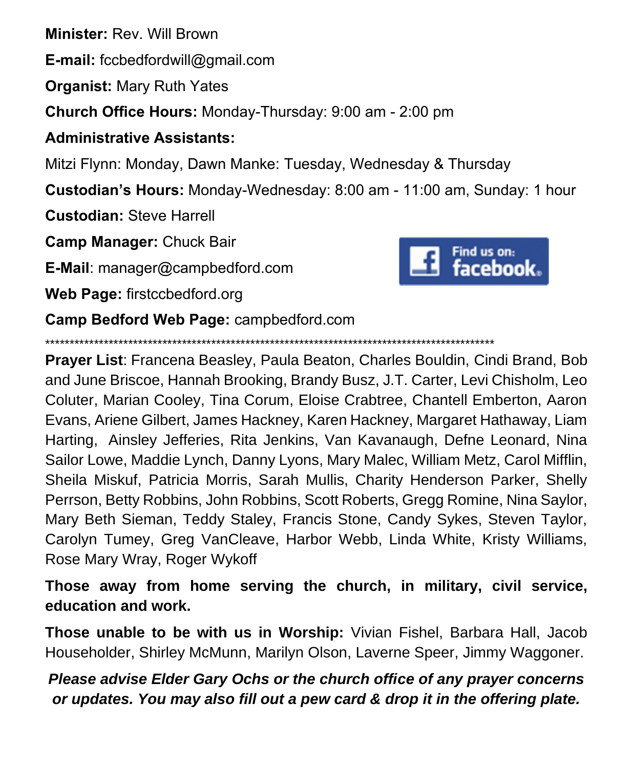**Minister:** Rev. Will Brown

**E-mail:** fccbedfordwill@gmail.com

**Organist:** Mary Ruth Yates

**Church Office Hours:** Monday-Thursday: 9:00 am - 2:00 pm

## **Administrative Assistants:**

Mitzi Flynn: Monday, Dawn Manke: Tuesday, Wednesday & Thursday

**Custodian's Hours:** Monday-Wednesday: 8:00 am - 11:00 am, Sunday: 1 hour

**Custodian:** Steve Harrell

**Camp Manager:** Chuck Bair

**E-Mail**: manager@campbedford.com

**Web Page:** firstccbedford.org



**Camp Bedford Web Page:** campbedford.com

\*\*\*\*\*\*\*\*\*\*\*\*\*\*\*\*\*\*\*\*\*\*\*\*\*\*\*\*\*\*\*\*\*\*\*\*\*\*\*\*\*\*\*\*\*\*\*\*\*\*\*\*\*\*\*\*\*\*\*\*\*\*\*\*\*\*\*\*\*\*\*\*\*\*\*\*\*\*\*\*\*\*\*\*\*\*\*\*\*\*\*\*

**Prayer List**: Francena Beasley, Paula Beaton, Charles Bouldin, Cindi Brand, Bob and June Briscoe, Hannah Brooking, Brandy Busz, J.T. Carter, Levi Chisholm, Leo Coluter, Marian Cooley, Tina Corum, Eloise Crabtree, Chantell Emberton, Aaron Evans, Ariene Gilbert, James Hackney, Karen Hackney, Margaret Hathaway, Liam Harting, Ainsley Jefferies, Rita Jenkins, Van Kavanaugh, Defne Leonard, Nina Sailor Lowe, Maddie Lynch, Danny Lyons, Mary Malec, William Metz, Carol Mifflin, Sheila Miskuf, Patricia Morris, Sarah Mullis, Charity Henderson Parker, Shelly Perrson, Betty Robbins, John Robbins, Scott Roberts, Gregg Romine, Nina Saylor, Mary Beth Sieman, Teddy Staley, Francis Stone, Candy Sykes, Steven Taylor, Carolyn Tumey, Greg VanCleave, Harbor Webb, Linda White, Kristy Williams, Rose Mary Wray, Roger Wykoff

**Those away from home serving the church, in military, civil service, education and work.**

**Those unable to be with us in Worship:** Vivian Fishel, Barbara Hall, Jacob Householder, Shirley McMunn, Marilyn Olson, Laverne Speer, Jimmy Waggoner.

*Please advise Elder Gary Ochs or the church office of any prayer concerns or updates. You may also fill out a pew card & drop it in the offering plate.*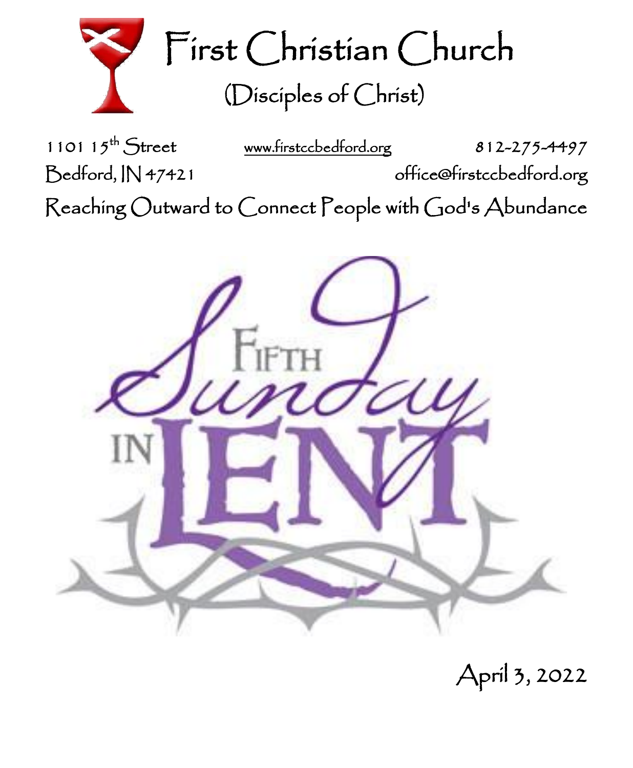

1101  $15^{th}$  Street [www.firstccbedford.org](http://www.firstccbedford.org/) 812-275-4497 Bedford, IN 47421 office@firstccbedford.org  $\sf Reaching~Outward$  to  $\sf C$ onnect  $\sf P$ eople with  $\sf C$ od's  $\sf Abundance$ 



April 3, 2022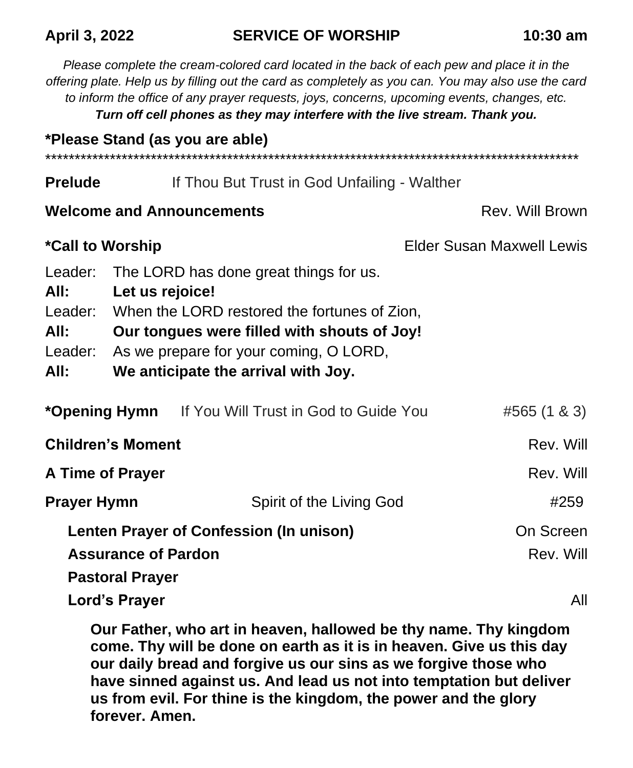#### **April 3, 2022 SERVICE OF WORSHIP 10:30 am**

*Please complete the cream-colored card located in the back of each pew and place it in the offering plate. Help us by filling out the card as completely as you can. You may also use the card to inform the office of any prayer requests, joys, concerns, upcoming events, changes, etc. Turn off cell phones as they may interfere with the live stream. Thank you.* **\*Please Stand (as you are able)** \*\*\*\*\*\*\*\*\*\*\*\*\*\*\*\*\*\*\*\*\*\*\*\*\*\*\*\*\*\*\*\*\*\*\*\*\*\*\*\*\*\*\*\*\*\*\*\*\*\*\*\*\*\*\*\*\*\*\*\*\*\*\*\*\*\*\*\*\*\*\*\*\*\*\*\*\*\*\*\*\*\*\*\*\*\*\*\*\*\*\* **Prelude** If Thou But Trust in God Unfailing - Walther **Welcome and Announcements Rev. Will Brown** \*Call to Worship **Allen Call Contract Call to Worship Elder Susan Maxwell Lewis** Leader: The LORD has done great things for us. **All: Let us rejoice!** Leader: When the LORD restored the fortunes of Zion, **All: Our tongues were filled with shouts of Joy!** Leader: As we prepare for your coming, O LORD, **All: We anticipate the arrival with Joy. \*Opening Hymn** If You Will Trust in God to Guide You #565 (1 & 3) **Children's Moment** Rev. Will also a state of the control of the Rev. Will also a state of the control of the control of the control of the control of the control of the control of the control of the control of the control **A Time of Prayer** Rev. Will and  $\mathbb{R}$  Rev. Will and  $\mathbb{R}$  Rev. Will and  $\mathbb{R}$ **Prayer Hymn** Spirit of the Living God **#259 Lenten Prayer of Confession (In unison)** Concernance Conference **Assurance of Pardon Rev. Will be a set of Pardon Rev. Will be a set of Pardon Pastoral Prayer Lord's Prayer** All **All and All and All and All and All and All and All and All and All and All and All and All and All and All and All and All and All and All and All and All and All and All and All and All and All and A** 

**Our Father, who art in heaven, hallowed be thy name. Thy kingdom come. Thy will be done on earth as it is in heaven. Give us this day our daily bread and forgive us our sins as we forgive those who have sinned against us. And lead us not into temptation but deliver us from evil. For thine is the kingdom, the power and the glory forever. Amen.**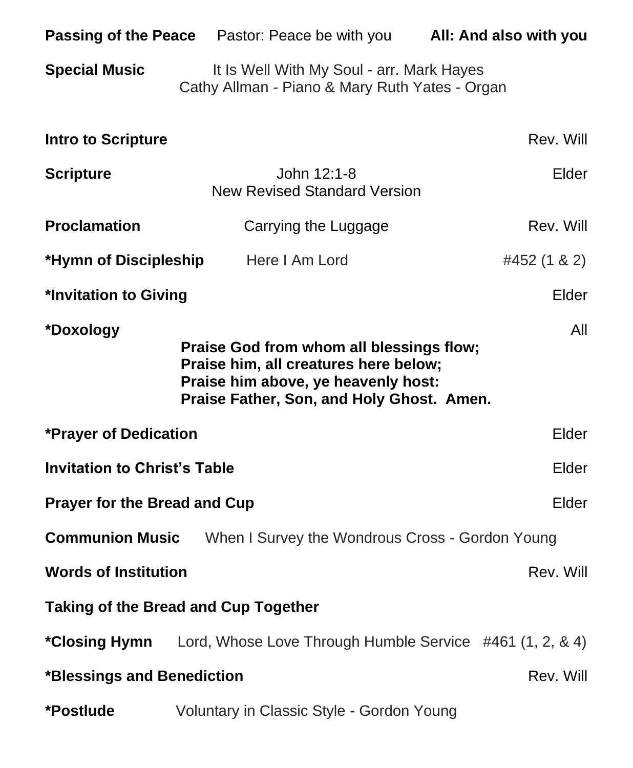|                                                                                                                                                                                           | Passing of the Peace Pastor: Peace be with you All: And also with you                       |              |
|-------------------------------------------------------------------------------------------------------------------------------------------------------------------------------------------|---------------------------------------------------------------------------------------------|--------------|
| <b>Special Music</b>                                                                                                                                                                      | It Is Well With My Soul - arr. Mark Hayes<br>Cathy Allman - Piano & Mary Ruth Yates - Organ |              |
| Intro to Scripture                                                                                                                                                                        |                                                                                             | Rev. Will    |
| <b>Scripture</b>                                                                                                                                                                          | John 12:1-8<br><b>New Revised Standard Version</b>                                          | Elder        |
| <b>Proclamation</b>                                                                                                                                                                       | Carrying the Luggage                                                                        | Rev. Will    |
| *Hymn of Discipleship                                                                                                                                                                     | Here I Am Lord                                                                              | #452 (1 & 2) |
| *Invitation to Giving<br>Elder                                                                                                                                                            |                                                                                             |              |
| All<br>*Doxology<br>Praise God from whom all blessings flow;<br>Praise him, all creatures here below;<br>Praise him above, ye heavenly host:<br>Praise Father, Son, and Holy Ghost. Amen. |                                                                                             |              |
| *Prayer of Dedication<br>Elder                                                                                                                                                            |                                                                                             |              |
| <b>Invitation to Christ's Table</b>                                                                                                                                                       |                                                                                             | Elder        |
| <b>Prayer for the Bread and Cup</b>                                                                                                                                                       |                                                                                             | Elder        |
| <b>Communion Music</b><br>When I Survey the Wondrous Cross - Gordon Young                                                                                                                 |                                                                                             |              |
| <b>Words of Institution</b>                                                                                                                                                               |                                                                                             | Rev. Will    |
| <b>Taking of the Bread and Cup Together</b>                                                                                                                                               |                                                                                             |              |
| *Closing Hymn                                                                                                                                                                             | Lord, Whose Love Through Humble Service #461 (1, 2, & 4)                                    |              |
| *Blessings and Benediction<br>Rev. Will                                                                                                                                                   |                                                                                             |              |
| *Postlude                                                                                                                                                                                 | Voluntary in Classic Style - Gordon Young                                                   |              |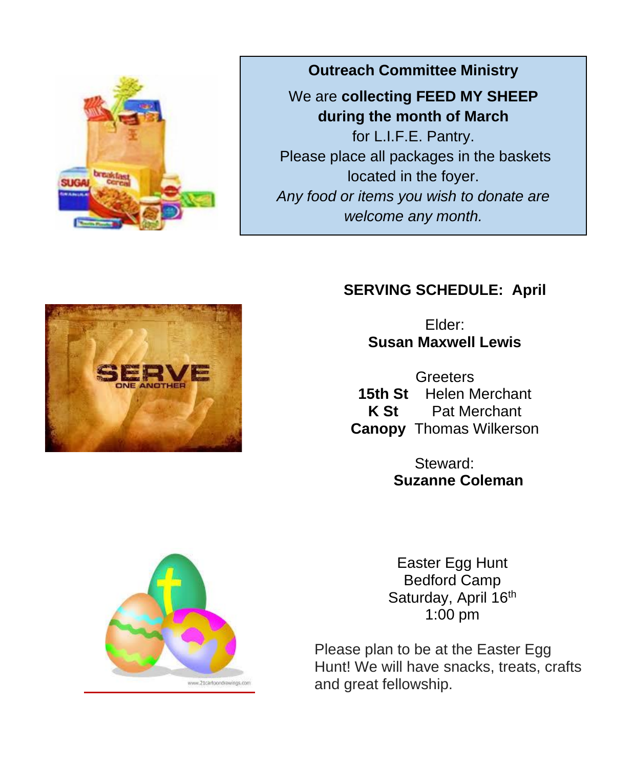

**Outreach Committee Ministry**

We are **collecting FEED MY SHEEP during the month of March**

for L.I.F.E. Pantry. Please place all packages in the baskets located in the foyer. *Any food or items you wish to donate are welcome any month.*

## **SERVING SCHEDULE: April**

Elder: **Susan Maxwell Lewis**

Greeters 15th St **Helen Merchant K St** Pat Merchant **Canopy** Thomas Wilkerson

> Steward: **Suzanne Coleman**



Easter Egg Hunt Bedford Camp Saturday, April 16<sup>th</sup> 1:00 pm

Please plan to be at the Easter Egg Hunt! We will have snacks, treats, crafts and great fellowship.

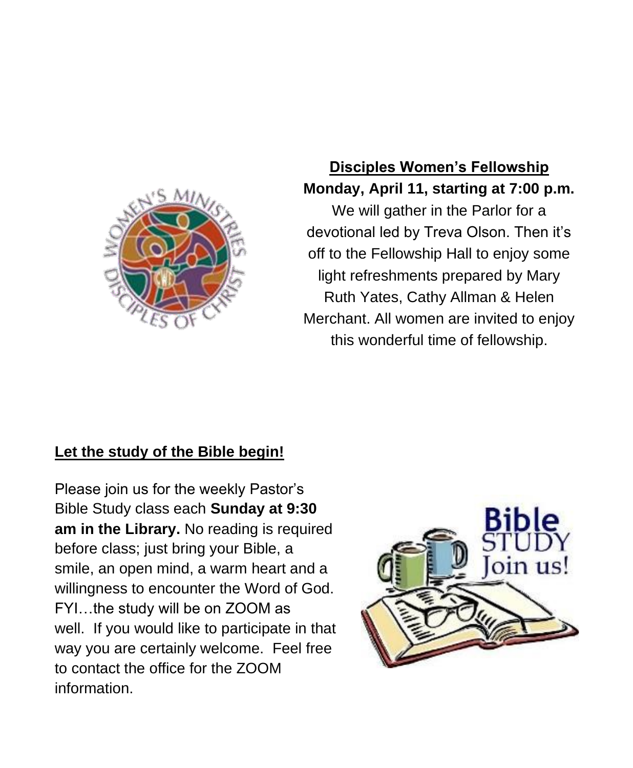

# **Disciples Women's Fellowship Monday, April 11, starting at 7:00 p.m.**

We will gather in the Parlor for a devotional led by Treva Olson. Then it's off to the Fellowship Hall to enjoy some light refreshments prepared by Mary Ruth Yates, Cathy Allman & Helen Merchant. All women are invited to enjoy this wonderful time of fellowship.

# **Let the study of the Bible begin!**

Please join us for the weekly Pastor's Bible Study class each **Sunday at 9:30 am in the Library.** No reading is required before class; just bring your Bible, a smile, an open mind, a warm heart and a willingness to encounter the Word of God. FYI…the study will be on ZOOM as well. If you would like to participate in that way you are certainly welcome. Feel free to contact the office for the ZOOM information.